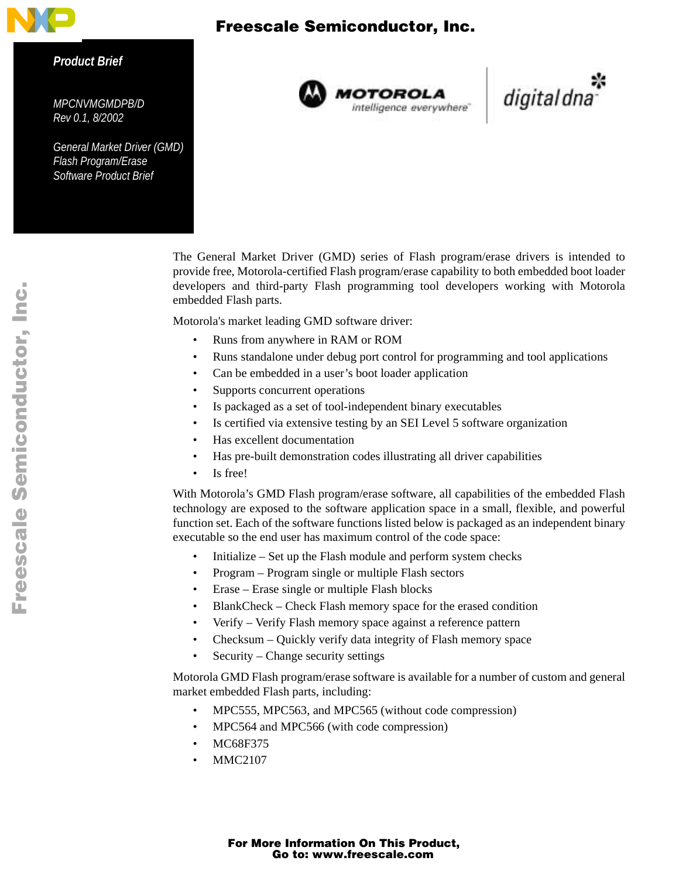

### *Product Brief*

<span id="page-0-0"></span>*MPCNVMGMDPB/D Rev 0.1, 8/2002*

*General Market Driver (GMD) Flash Program/Erase Software Product Brief*





**MOTOROLA** intelligence everywhere"

digital dna

The General Market Driver (GMD) series of Flash program/erase drivers is intended to provide free, Motorola-certified Flash program/erase capability to both embedded boot loader developers and third-party Flash programming tool developers working with Motorola embedded Flash parts.

Motorola's market leading GMD software driver:

- Runs from anywhere in RAM or ROM
- Runs standalone under debug port control for programming and tool applications
- Can be embedded in a user's boot loader application
- Supports concurrent operations
- Is packaged as a set of tool-independent binary executables
- Is certified via extensive testing by an SEI Level 5 software organization
- Has excellent documentation
- Has pre-built demonstration codes illustrating all driver capabilities
- Is free!

With Motorola's GMD Flash program/erase software, all capabilities of the embedded Flash technology are exposed to the software application space in a small, flexible, and powerful function set. Each of the software functions listed below is packaged as an independent binary executable so the end user has maximum control of the code space:

- Initialize Set up the Flash module and perform system checks
- Program Program single or multiple Flash sectors
- Erase Erase single or multiple Flash blocks
- BlankCheck Check Flash memory space for the erased condition
- Verify Verify Flash memory space against a reference pattern
- Checksum Quickly verify data integrity of Flash memory space
- Security Change security settings

Motorola GMD Flash program/erase software is available for a number of custom and general market embedded Flash parts, including:

- MPC555, MPC563, and MPC565 (without code compression)
- MPC564 and MPC566 (with code compression)
- MC68F375
- MMC2107

## For More Information On This Product, Go to: www.freescale.com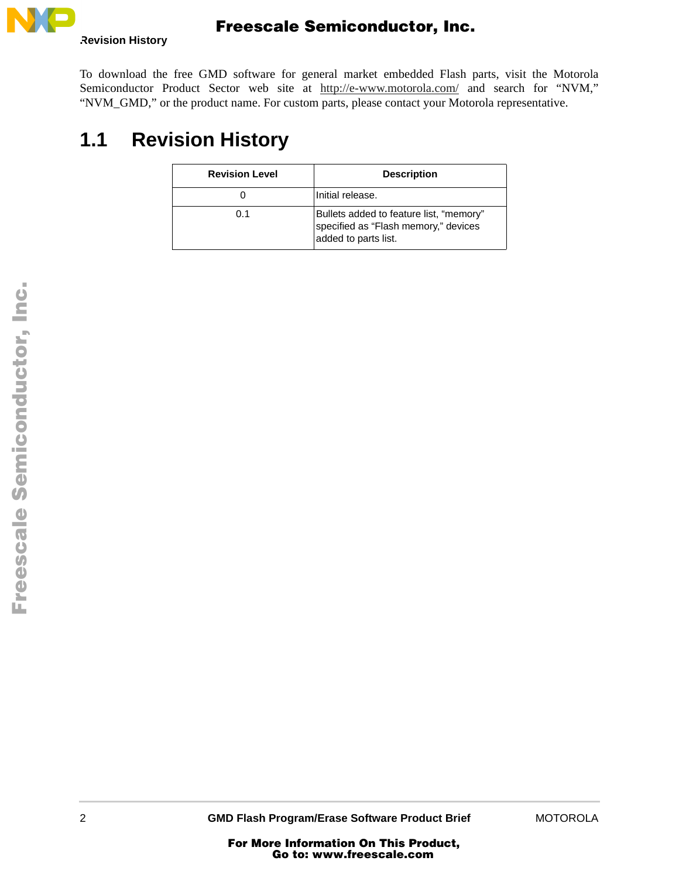

## Freescale Semiconductor, Inc.

To download the free GMD software for general market embedded Flash parts, visit the Motorola Semiconductor Product Sector web site at http://e-www.motorola.com/ and search for "NVM," "NVM\_GMD," or the product name. For custom parts, please contact your Motorola representative.

# **1.1 Revision History**

| <b>Revision Level</b> | <b>Description</b>                                                                                      |
|-----------------------|---------------------------------------------------------------------------------------------------------|
|                       | Initial release.                                                                                        |
| ດ 1                   | Bullets added to feature list, "memory"<br>specified as "Flash memory," devices<br>added to parts list. |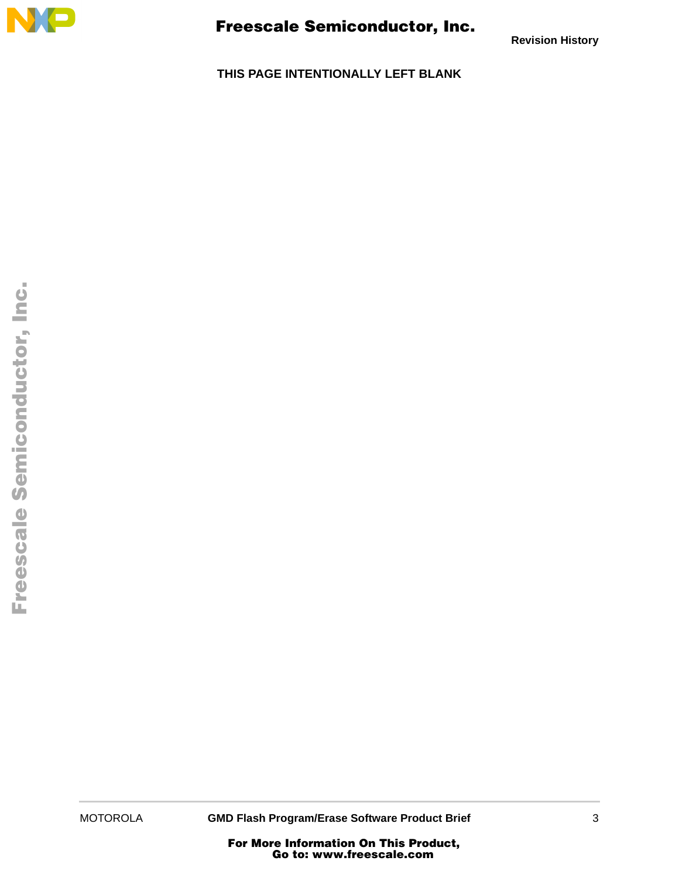

## Freescale Semiconductor, Inc.

**Revision History**

**THIS PAGE INTENTIONALLY LEFT BLANK**